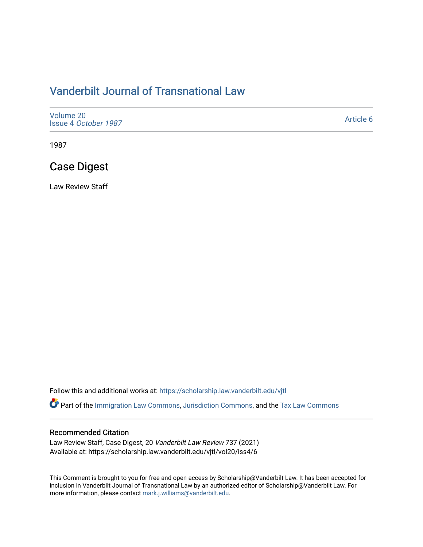# [Vanderbilt Journal of Transnational Law](https://scholarship.law.vanderbilt.edu/vjtl)

| Volume 20<br>Issue 4 October 1987 | Article 6 |
|-----------------------------------|-----------|
|-----------------------------------|-----------|

1987

# Case Digest

Law Review Staff

Follow this and additional works at: [https://scholarship.law.vanderbilt.edu/vjtl](https://scholarship.law.vanderbilt.edu/vjtl?utm_source=scholarship.law.vanderbilt.edu%2Fvjtl%2Fvol20%2Fiss4%2F6&utm_medium=PDF&utm_campaign=PDFCoverPages) 

Part of the [Immigration Law Commons](http://network.bepress.com/hgg/discipline/604?utm_source=scholarship.law.vanderbilt.edu%2Fvjtl%2Fvol20%2Fiss4%2F6&utm_medium=PDF&utm_campaign=PDFCoverPages), [Jurisdiction Commons,](http://network.bepress.com/hgg/discipline/850?utm_source=scholarship.law.vanderbilt.edu%2Fvjtl%2Fvol20%2Fiss4%2F6&utm_medium=PDF&utm_campaign=PDFCoverPages) and the [Tax Law Commons](http://network.bepress.com/hgg/discipline/898?utm_source=scholarship.law.vanderbilt.edu%2Fvjtl%2Fvol20%2Fiss4%2F6&utm_medium=PDF&utm_campaign=PDFCoverPages) 

### Recommended Citation

Law Review Staff, Case Digest, 20 Vanderbilt Law Review 737 (2021) Available at: https://scholarship.law.vanderbilt.edu/vjtl/vol20/iss4/6

This Comment is brought to you for free and open access by Scholarship@Vanderbilt Law. It has been accepted for inclusion in Vanderbilt Journal of Transnational Law by an authorized editor of Scholarship@Vanderbilt Law. For more information, please contact [mark.j.williams@vanderbilt.edu](mailto:mark.j.williams@vanderbilt.edu).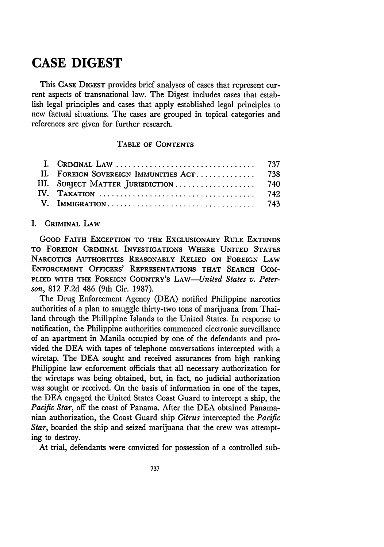# **CASE DIGEST**

This **CASE DIGEST** provides brief analyses of cases that represent current aspects of transnational law. The Digest includes cases that establish legal principles and cases that apply established legal principles to new factual situations. The cases are grouped in topical categories and references are given for further research.

### TABLE OF **CONTENTS**

| II. FOREIGN SOVEREIGN IMMUNITIES ACT 738 |  |
|------------------------------------------|--|
| III. SUBJECT MATTER JURISDICTION  740    |  |
|                                          |  |
|                                          |  |

#### I. **CRIMINAL LAW**

**GOOD FAITH EXCEPTION TO THE EXCLUSIONARY RULE EXTENDS TO FOREIGN CRIMINAL INVESTIGATIONS WHERE UNITED STATES NARCOTICS AUTHORITIES REASONABLY RELIED ON FOREIGN LAW ENFORCEMENT OFFICERS' REPRESENTATIONS THAT SEARCH COM-PLIED WITH THE FOREIGN COUNTRY'S** *LAW-United States v. Peterson,* **812 F.2d** 486 (9th Cir. **1987).**

The Drug Enforcement Agency (DEA) notified Philippine narcotics authorities of a plan to smuggle thirty-two tons of marijuana from Thailand through the Philippine Islands to the United States. In response to notification, the Philippine authorities commenced electronic surveillance of an apartment in Manila occupied **by** one of the defendants and provided the **DEA** with tapes of telephone conversations intercepted with a wiretap. The **DEA** sought and received assurances from high ranking Philippine law enforcement officials that all necessary authorization for the wiretaps was being obtained, but, in fact, no judicial authorization was sought or received. On the basis of information in one of the tapes, the **DEA** engaged the United States Coast Guard to intercept a ship, the *Pacific Star,* off the coast of Panama. After the **DEA** obtained Panamanian authorization, the Coast Guard ship *Citrus* intercepted the *Pacific Star,* boarded the ship and seized marijuana that the crew was attempting to destroy.

At trial, defendants were convicted for possession of a controlled sub-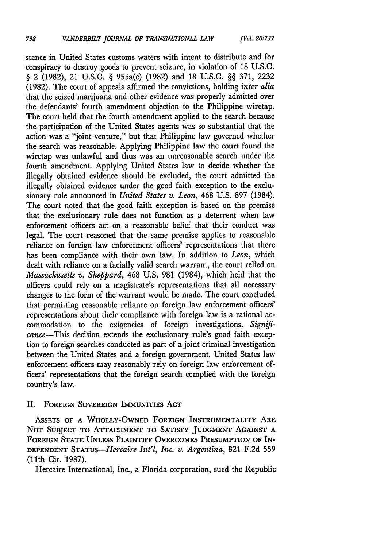stance in United States customs waters with intent to distribute and for conspiracy to destroy goods to prevent seizure, in violation of **18** U.S.c. § 2 (1982), 21 U.S.C. § 955a(c) (1982) and 18 U.S.C. §§ 371, 2232 (1982). The court of appeals affirmed the convictions, holding *inter alia* that the seized marijuana and other evidence was properly admitted over the defendants' fourth amendment objection to the Philippine wiretap. The court held that the fourth amendment applied to the search because the participation of the United States agents was so substantial that the action was a "joint venture," but that Philippine law governed whether the search was reasonable. Applying Philippine law the court found the wiretap was unlawful and thus was an unreasonable search under the fourth amendment. Applying United States law to decide whether the illegally obtained evidence should be excluded, the court admitted the illegally obtained evidence under the good faith exception to the exclusionary rule announced in *United States v. Leon,* 468 U.S. 897 (1984). The court noted that the good faith exception is based on the premise that the exclusionary rule does not function as a deterrent when law enforcement officers act on a reasonable belief that their conduct was legal. The court reasoned that the same premise applies to reasonable reliance on foreign law enforcement officers' representations that there has been compliance with their own law. In addition to *Leon,* which dealt with reliance on a facially valid search warrant, the court relied on *Massachusetts v. Sheppard,* 468 U.S. 981 (1984), which held that the officers could rely on a magistrate's representations that all necessary changes to the form of the warrant would be made. The court concluded that permitting reasonable reliance on foreign law enforcement officers' representations about their compliance with foreign law is a rational accommodation to the exigencies of foreign investigations. *Signifcance-This* decision extends the exclusionary rule's good faith exception to foreign searches conducted as part of a joint criminal investigation between the United States and a foreign government. United States law enforcement officers may reasonably rely on foreign law enforcement officers' representations that the foreign search complied with the foreign country's law.

#### II. **FOREIGN** SOVEREIGN IMMUNITIES ACT

**ASSETS OF A** WHOLLY-OWNED **FOREIGN** INSTRUMENTALITY ARE **NOT SUBJECT** TO **ATTACHMENT** TO **SATISFY JUDGMENT AGAINST A FOREIGN STATE UNLESS PLAINTIFF OVERCOMES PRESUMPTION OF IN-DEPENDENT** *STATUS-Hercaire Int'l, Inc. v. Argentina,* 821 F.2d 559 (11th Cir. 1987).

Hercaire International, Inc., a Florida corporation, sued the Republic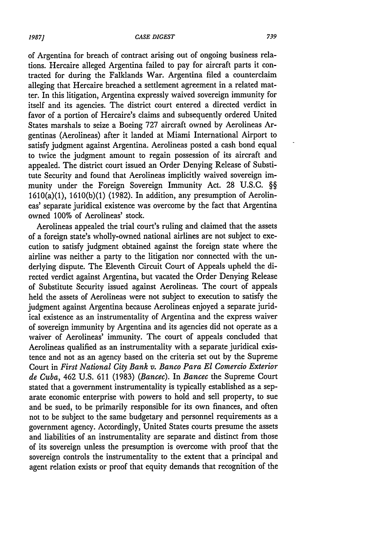of Argentina for breach of contract arising out of ongoing business relations. Hercaire alleged Argentina failed to pay for aircraft parts it contracted for during the Falklands War. Argentina filed a counterclaim alleging that Hercaire breached a settlement agreement in a related matter. In this litigation, Argentina expressly waived sovereign immunity for itself and its agencies. The district court entered a directed verdict in favor of a portion of Hercaire's claims and subsequently ordered United States marshals to seize a Boeing 727 aircraft owned by Aerolineas Argentinas (Aerolineas) after it landed at Miami International Airport to satisfy judgment against Argentina. Aerolineas posted a cash bond equal to twice the judgment amount to regain possession of its aircraft and appealed. The district court issued an Order Denying Release of Substitute Security and found that Aerolineas implicitly waived sovereign immunity under the Foreign Sovereign Immunity Act. 28 U.S.C. §§  $1610(a)(1)$ ,  $1610(b)(1)$  (1982). In addition, any presumption of Aerolineas' separate juridical existence was overcome by the fact that Argentina owned 100% of Aerolineas' stock.

Aerolineas appealed the trial court's ruling and claimed that the assets of a foreign state's wholly-owned national airlines are not subject to execution to satisfy judgment obtained against the foreign state where the airline was neither a party to the litigation nor connected with the underlying dispute. The Eleventh Circuit Court of Appeals upheld the directed verdict against Argentina, but vacated the Order Denying Release of Substitute Security issued against Aerolineas. The court of appeals held the assets of Aerolineas were not subject to execution to satisfy the judgment against Argentina because Aerolineas enjoyed a separate juridical existence as an instrumentality of Argentina and the express waiver of sovereign immunity by Argentina and its agencies did not operate as a waiver of Aerolineas' immunity. The court of appeals concluded that Aerolineas qualified as an instrumentality with a separate juridical existence and not as an agency based on the criteria set out by the Supreme Court in *First National City Bank v. Banco Para El Comercio Exterior de Cuba,* 462 U.S. 611 (1983) *(Bancec).* In *Bancec* the Supreme Court stated that a government instrumentality is typically established as a separate economic enterprise with powers to hold and sell property, to sue and be sued, to be primarily responsible for its own finances, and often not to be subject to the same budgetary and personnel requirements as a government agency. Accordingly, United States courts presume the assets and liabilities of an instrumentality are separate and distinct from those of its sovereign unless the presumption is overcome with proof that the sovereign controls the instrumentality to the extent that a principal and agent relation exists or proof that equity demands that recognition of the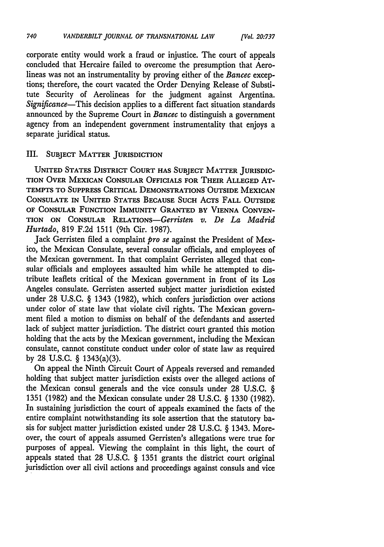corporate entity would work a fraud or injustice. The court of appeals concluded that Hercaire failed to overcome the presumption that Aerolineas was not an instrumentality by proving either of the *Bancec* exceptions; therefore, the court vacated the Order Denying Release of Substitute Security of Aerolineas for the judgment against Argentina. *Significance-This* decision applies to a different fact situation standards announced by the Supreme Court in *Bancec* to distinguish a government agency from an independent government instrumentality that enjoys a separate juridical status.

### III. **SUBJECT MATTER JURISDICTION**

**UNITED STATES DISTRICT COURT HAS SUBJECT MATTER JURISDIC-TION OVER MEXICAN CONSULAR OFFICIALS FOR THEIR ALLEGED AT-TEMPTS TO SUPPRESS CRITICAL DEMONSTRATIONS OUTSIDE MEXICAN CONSULATE IN UNITED STATES BECAUSE SUCH** ACTS **FALL OUTSIDE OF CONSULAR FUNCTION IMMUNITY GRANTED BY VIENNA CONVEN-TION ON CONSULAR** RELATIONs-Gerristen *v. De La Madrid Hurtado,* 819 F.2d 1511 (9th Cir. 1987).

Jack Gerristen filed a complaint *pro se* against the President of Mexico, the Mexican Consulate, several consular officials, and employees of the Mexican government. In that complaint Gerristen alleged that consular officials and employees assaulted him while he attempted to distribute leaflets critical of the Mexican government in front of its Los Angeles consulate. Gerristen asserted subject matter jurisdiction existed under 28 U.S.C. § 1343 (1982), which confers jurisdiction over actions under color of state law that violate civil rights. The Mexican government filed a motion to dismiss on behalf of the defendants and asserted lack of subject matter jurisdiction. The district court granted this motion holding that the acts by the Mexican government, including the Mexican consulate, cannot constitute conduct under color of state law as required by 28 **U.S.C.** § 1343(a)(3).

On appeal the Ninth Circuit Court of Appeals reversed and remanded holding that subject matter jurisdiction exists over the alleged actions of the Mexican consul generals and the vice consuls under 28 U.S.C. **§** 1351 (1982) and the Mexican consulate under 28 U.S.C. § 1330 (1982). In sustaining jurisdiction the court of appeals examined the facts of the entire complaint notwithstanding its sole assertion that the statutory basis for subject matter jurisdiction existed under 28 U.S.C. § 1343. Moreover, the court of appeals assumed Gerristen's allegations were true for purposes of appeal. Viewing the complaint in this light, the court of appeals stated that 28 U.S.C. **§** 1351 grants the district court original jurisdiction over all civil actions and proceedings against consuls and vice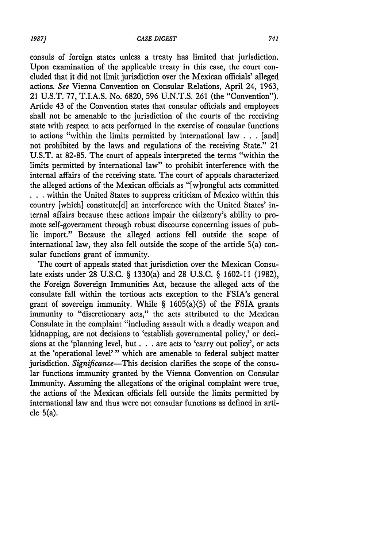#### *CASE DIGEST*

consuls of foreign states unless a treaty has limited that jurisdiction. Upon examination of the applicable treaty in this case, the court concluded that it did not limit jurisdiction over the Mexican officials' alleged actions. *See* Vienna Convention on Consular Relations, April 24, **1963,** 21 **U.S.T. 77,** T.I.A.S. No. **6820, 596 U.N.T.S. 261** (the "Convention"). Article 43 of the Convention states that consular officials and employees shall not be amenable to the jurisdiction of the courts of the receiving state with respect to acts performed in the exercise of consular functions to actions "within the limits permitted **by** international law **. . .** [and] not prohibited **by** the laws and regulations of the receiving State." 21 **U.S.T.** at **82-85.** The court of appeals interpreted the terms "within the limits permitted **by** international law" to prohibit interference with the internal affairs of the receiving state. The court of appeals characterized the alleged actions of the Mexican officials as "[w]rongful acts committed **• . .** within the United States to suppress criticism of Mexico within this country [which] constitute[d] an interference with the United States' internal affairs because these actions impair the citizenry's ability to promote self-government through robust discourse concerning issues of public import." Because the alleged actions fell outside the scope of international law, they also fell outside the scope of the article 5(a) consular functions grant of immunity.

The court of appeals stated that jurisdiction over the Mexican Consulate exists under **28 U.S.C.** § 1330(a) and **28 U.S.C.** § **1602-11 (1982),** the Foreign Sovereign Immunities Act, because the alleged acts of the consulate fall within the tortious acts exception to the FSIA's general grant of sovereign immunity. While  $\S$  1605(a)(5) of the FSIA grants immunity to "discretionary acts," the acts attributed to the Mexican Consulate in the complaint "including assault with a deadly weapon and kidnapping, are not decisions to 'establish governmental policy,' or decisions at the 'planning level, but **. . .** are acts to 'carry out policy', or acts at the 'operational level'" which are amenable to federal subject matter jurisdiction. *Significance*-This decision clarifies the scope of the consular functions immunity granted **by** the Vienna Convention on Consular Immunity. Assuming the allegations of the original complaint were true, the actions of the Mexican officials fell outside the limits permitted by international law and thus were not consular functions as defined in article 5(a).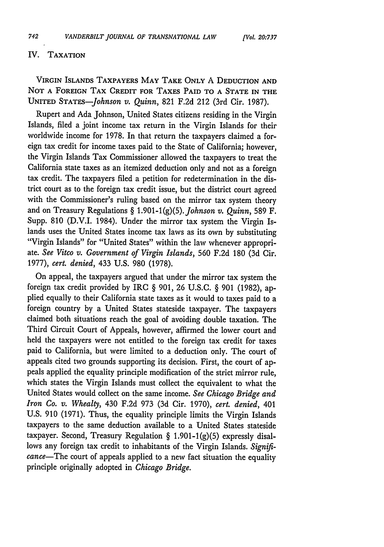#### IV. TAXATION

VIRGIN ISLANDS TAXPAYERS MAY TAKE **ONLY** A **DEDUCTION AND NOT A FOREIGN** TAX CREDIT FOR **TAXES PAID** TO **A STATE IN** THE UNITED *STATES-Johnson v. Quinn,* 821 F.2d 212 (3rd Cir. 1987).

Rupert and Ada Johnson, United States citizens residing in the Virgin Islands, filed a joint income tax return in the Virgin Islands for their worldwide income for 1978. In that return the taxpayers claimed a foreign tax credit for income taxes paid to the State of California; however, the Virgin Islands Tax Commissioner allowed the taxpayers to treat the California state taxes as an itemized deduction only and not as a foreign tax credit. The taxpayers filed a petition for redetermination in the district court as to the foreign tax credit issue, but the district court agreed with the Commissioner's ruling based on the mirror tax system theory and on Treasury Regulations § 1.901-1(g)(5). Johnson v. Quinn, 589 F. Supp. 810 (D.V.I. 1984). Under the mirror tax system the Virgin Islands uses the United States income tax laws as its own by substituting "Virgin Islands" for "United States" within the law whenever appropriate. *See Vitco v. Government of Virgin Islands,* 560 F.2d 180 (3d Cir. 1977), *cert. denied,* 433 U.S. 980 (1978).

On appeal, the taxpayers argued that under the mirror tax system the foreign tax credit provided by IRC § 901, 26 U.S.C. § 901 (1982), applied equally to their California state taxes as it would to taxes paid to a foreign country by a United States stateside taxpayer. The taxpayers claimed both situations reach the goal of avoiding double taxation. The Third Circuit Court of Appeals, however, affirmed the lower court and held the taxpayers were not entitled to the foreign tax credit for taxes paid to California, but were limited to a deduction only. The court of appeals cited two grounds supporting its decision. First, the court of appeals applied the equality principle modification of the strict mirror rule, which states the Virgin Islands must collect the equivalent to what the United States would collect on the same income. *See Chicago Bridge and Iron Co. v. Whealty,* 430 F.2d 973 (3d Cir. 1970), *cert. denied,* 401 U.S. 910 (1971). Thus, the equality principle limits the Virgin Islands taxpayers to the same deduction available to a United States stateside taxpayer. Second, Treasury Regulation § 1.901-1(g)(5) expressly disallows any foreign tax credit to inhabitants of the Virgin Islands. *Significance-The* court of appeals applied to a new fact situation the equality principle originally adopted in *Chicago Bridge.*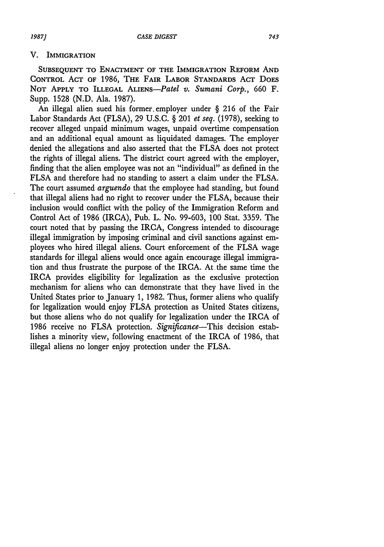#### V. **IMMIGRATION**

**SUBSEQUENT TO ENACTMENT OF THE IMMIGRATION REFORM AND** CONTROL **ACT OF** 1986, THE **FAIR** LABOR **STANDARDS ACT** DOES **NOT APPLY** TO ILLEGAL *ALIENS-Patel v. Sumani Corp.,* 660 F. Supp. 1528 (N.D. Ala. 1987).

An illegal alien sued his former, employer under § 216 of the Fair Labor Standards Act (FLSA), 29 U.S.C. § 201 *et seq.* (1978), seeking to recover alleged unpaid minimum wages, unpaid overtime compensation and an additional equal amount as liquidated damages. The employer denied the allegations and also asserted that the FLSA does not protect the rights of illegal aliens. The district court agreed with the employer, finding that the alien employee was not an "individual" as defined in the FLSA and therefore had no standing to assert a claim under the FLSA. The court assumed *arguendo* that the employee had standing, but found that illegal aliens had no right to recover under the FLSA, because their inclusion would conflict with the policy of the Immigration Reform and Control Act of 1986 (IRCA), Pub. L. No. 99-603, 100 Stat. 3359. The court noted that by passing the IRCA, Congress intended to discourage illegal immigration by imposing criminal and civil sanctions against employees who hired illegal aliens. Court enforcement of the FLSA wage standards for illegal aliens would once again encourage illegal immigration and thus frustrate the purpose of the IRCA. At-the same time the IRCA provides eligibility for legalization as the exclusive protection mechanism for aliens who can demonstrate that they have lived in the United States prior to January **1,** 1982. Thus, former aliens who qualify for legalization would enjoy FLSA protection as United States citizens, but those aliens who do not qualify for legalization under the IRCA of 1986 receive no FLSA protection. *Significance-This* decision establishes a minority view, following enactment of the IRCA of 1986, that illegal aliens no longer enjoy protection under the FLSA.

*1987]*